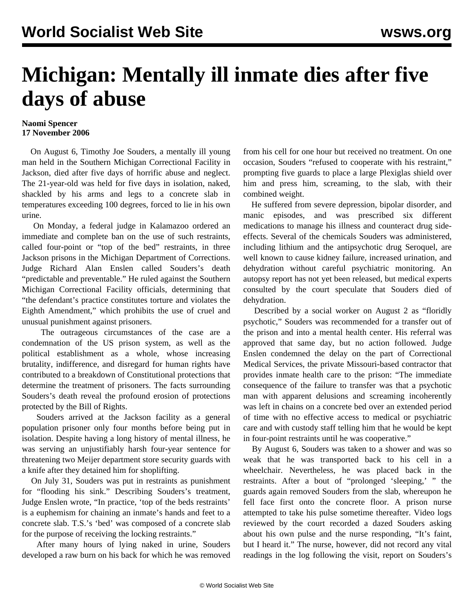## **Michigan: Mentally ill inmate dies after five days of abuse**

## **Naomi Spencer 17 November 2006**

 On August 6, Timothy Joe Souders, a mentally ill young man held in the Southern Michigan Correctional Facility in Jackson, died after five days of horrific abuse and neglect. The 21-year-old was held for five days in isolation, naked, shackled by his arms and legs to a concrete slab in temperatures exceeding 100 degrees, forced to lie in his own urine.

 On Monday, a federal judge in Kalamazoo ordered an immediate and complete ban on the use of such restraints, called four-point or "top of the bed" restraints, in three Jackson prisons in the Michigan Department of Corrections. Judge Richard Alan Enslen called Souders's death "predictable and preventable." He ruled against the Southern Michigan Correctional Facility officials, determining that "the defendant's practice constitutes torture and violates the Eighth Amendment," which prohibits the use of cruel and unusual punishment against prisoners.

 The outrageous circumstances of the case are a condemnation of the US prison system, as well as the political establishment as a whole, whose increasing brutality, indifference, and disregard for human rights have contributed to a breakdown of Constitutional protections that determine the treatment of prisoners. The facts surrounding Souders's death reveal the profound erosion of protections protected by the Bill of Rights.

 Souders arrived at the Jackson facility as a general population prisoner only four months before being put in isolation. Despite having a long history of mental illness, he was serving an unjustifiably harsh four-year sentence for threatening two Meijer department store security guards with a knife after they detained him for shoplifting.

 On July 31, Souders was put in restraints as punishment for "flooding his sink." Describing Souders's treatment, Judge Enslen wrote, "In practice, 'top of the beds restraints' is a euphemism for chaining an inmate's hands and feet to a concrete slab. T.S.'s 'bed' was composed of a concrete slab for the purpose of receiving the locking restraints."

 After many hours of lying naked in urine, Souders developed a raw burn on his back for which he was removed from his cell for one hour but received no treatment. On one occasion, Souders "refused to cooperate with his restraint," prompting five guards to place a large Plexiglas shield over him and press him, screaming, to the slab, with their combined weight.

 He suffered from severe depression, bipolar disorder, and manic episodes, and was prescribed six different medications to manage his illness and counteract drug sideeffects. Several of the chemicals Souders was administered, including lithium and the antipsychotic drug Seroquel, are well known to cause kidney failure, increased urination, and dehydration without careful psychiatric monitoring. An autopsy report has not yet been released, but medical experts consulted by the court speculate that Souders died of dehydration.

 Described by a social worker on August 2 as "floridly psychotic," Souders was recommended for a transfer out of the prison and into a mental health center. His referral was approved that same day, but no action followed. Judge Enslen condemned the delay on the part of Correctional Medical Services, the private Missouri-based contractor that provides inmate health care to the prison: "The immediate consequence of the failure to transfer was that a psychotic man with apparent delusions and screaming incoherently was left in chains on a concrete bed over an extended period of time with no effective access to medical or psychiatric care and with custody staff telling him that he would be kept in four-point restraints until he was cooperative."

 By August 6, Souders was taken to a shower and was so weak that he was transported back to his cell in a wheelchair. Nevertheless, he was placed back in the restraints. After a bout of "prolonged 'sleeping,' " the guards again removed Souders from the slab, whereupon he fell face first onto the concrete floor. A prison nurse attempted to take his pulse sometime thereafter. Video logs reviewed by the court recorded a dazed Souders asking about his own pulse and the nurse responding, "It's faint, but I heard it." The nurse, however, did not record any vital readings in the log following the visit, report on Souders's